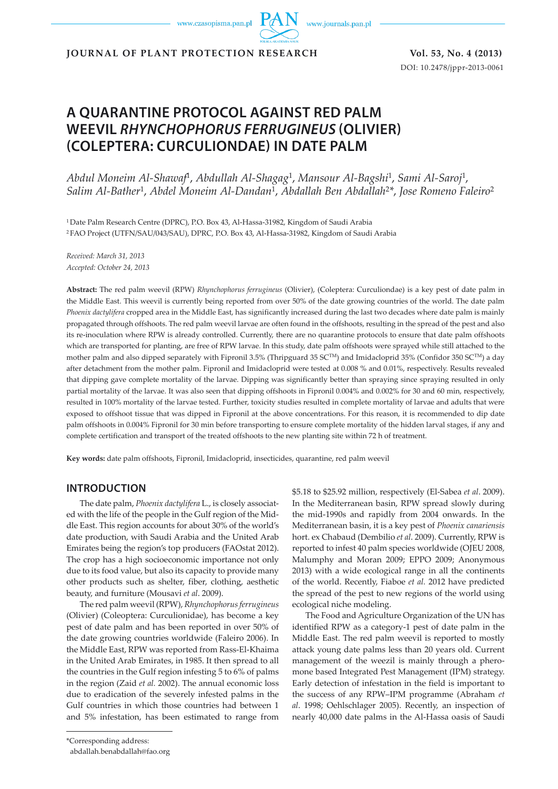www.czasopisma.pan.pl



**JOURNAL OF PLANT PROTECTION RESEARCH Vol. 53, No. 4 (2013)**

DOI: 10.2478/jppr-2013-0061

# **A QUARANTINE PROTOCOL AGAINST RED PALM WEEVIL** *RHYNCHOPHORUS FERRUGINEUS* **(OLIVIER) (COLEPTERA: CURCULIONDAE) IN DATE PALM**

*Abdul Moneim Al-Shawaf*1, *Abdullah Al-Shagag*1, *Mansour Al-Bagshi*1, *Sami Al-Saroj*1, *Salim Al-Bather*1, *Abdel Moneim Al-Dandan*1, *Abdallah Ben Abdallah*<sup>2</sup>*\**, *Jose Romeno Faleiro*<sup>2</sup>

1 Date Palm Research Centre (DPRC), P.O. Box 43, Al-Hassa-31982, Kingdom of Saudi Arabia 2 FAO Project (UTFN/SAU/043/SAU), DPRC, P.O. Box 43, Al-Hassa-31982, Kingdom of Saudi Arabia

*Received: March 31, 2013 Accepted: October 24, 2013*

**Abstract:** The red palm weevil (RPW) *Rhynchophorus ferrugineus* (Olivier), (Coleptera: Curculiondae) is a key pest of date palm in the Middle East. This weevil is currently being reported from over 50% of the date growing countries of the world. The date palm *Phoenix dactylifera* cropped area in the Middle East, has significantly increased during the last two decades where date palm is mainly propagated through offshoots. The red palm weevil larvae are often found in the offshoots, resulting in the spread of the pest and also its re-inoculation where RPW is already controlled. Currently, there are no quarantine protocols to ensure that date palm offshoots which are transported for planting, are free of RPW larvae. In this study, date palm offshoots were sprayed while still attached to the mother palm and also dipped separately with Fipronil 3.5% (Thripguard 35 SCTM) and Imidacloprid 35% (Confidor 350 SCTM) a day after detachment from the mother palm. Fipronil and Imidacloprid were tested at 0.008 % and 0.01%, respectively. Results revealed that dipping gave complete mortality of the larvae. Dipping was significantly better than spraying since spraying resulted in only partial mortality of the larvae. It was also seen that dipping offshoots in Fipronil 0.004% and 0.002% for 30 and 60 min, respectively, resulted in 100% mortality of the larvae tested. Further, toxicity studies resulted in complete mortality of larvae and adults that were exposed to offshoot tissue that was dipped in Fipronil at the above concentrations. For this reason, it is recommended to dip date palm offshoots in 0.004% Fipronil for 30 min before transporting to ensure complete mortality of the hidden larval stages, if any and complete certification and transport of the treated offshoots to the new planting site within 72 h of treatment.

**Key words:** date palm offshoots, Fipronil, Imidacloprid, insecticides, quarantine, red palm weevil

# **INTRODUCTION**

The date palm, *Phoenix dactylifera* L., is closely associated with the life of the people in the Gulf region of the Middle East. This region accounts for about 30% of the world's date production, with Saudi Arabia and the United Arab Emirates being the region's top producers (FAOstat 2012). The crop has a high socioeconomic importance not only due to its food value, but also its capacity to provide many other products such as shelter, fiber, clothing, aesthetic beauty, and furniture (Mousavi *et al*. 2009).

The red palm weevil (RPW), *Rhynchophorus ferrugineus* (Olivier) (Coleoptera: Curculionidae), has become a key pest of date palm and has been reported in over 50% of the date growing countries worldwide (Faleiro 2006). In the Middle East, RPW was reported from Rass-El-Khaima in the United Arab Emirates, in 1985. It then spread to all the countries in the Gulf region infesting 5 to 6% of palms in the region (Zaid *et al.* 2002). The annual economic loss due to eradication of the severely infested palms in the Gulf countries in which those countries had between 1 and 5% infestation, has been estimated to range from

\$5.18 to \$25.92 million, respectively (El-Sabea *et al*. 2009). In the Mediterranean basin, RPW spread slowly during the mid-1990s and rapidly from 2004 onwards. In the Mediterranean basin, it is a key pest of *Phoenix canariensis* hort. ex Chabaud (Dembilio *et al*. 2009). Currently, RPW is reported to infest 40 palm species worldwide (OJEU 2008, Malumphy and Moran 2009; EPPO 2009; Anonymous 2013) with a wide ecological range in all the continents of the world. Recently, Fiaboe *et al.* 2012 have predicted the spread of the pest to new regions of the world using ecological niche modeling.

The Food and Agriculture Organization of the UN has identified RPW as a category-1 pest of date palm in the Middle East. The red palm weevil is reported to mostly attack young date palms less than 20 years old. Current management of the weezil is mainly through a pheromone based Integrated Pest Management (IPM) strategy. Early detection of infestation in the field is important to the success of any RPW–IPM programme (Abraham *et al*. 1998; Oehlschlager 2005). Recently, an inspection of nearly 40,000 date palms in the Al-Hassa oasis of Saudi

<sup>\*</sup>Corresponding address:

abdallah.benabdallah@fao.org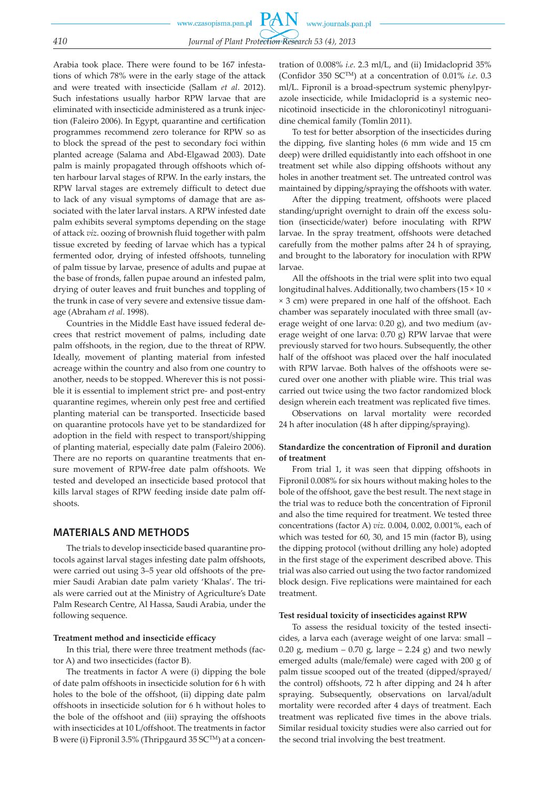**PAN** www.czasopisma.pan.pl www.journals.pan.pl *410 Journal of Plant Protection Research 53 (4), 2013*

Arabia took place. There were found to be 167 infestations of which 78% were in the early stage of the attack and were treated with insecticide (Sallam *et al*. 2012). Such infestations usually harbor RPW larvae that are eliminated with insecticide administered as a trunk injection (Faleiro 2006). In Egypt, quarantine and certification programmes recommend zero tolerance for RPW so as to block the spread of the pest to secondary foci within planted acreage (Salama and Abd-Elgawad 2003). Date palm is mainly propagated through offshoots which often harbour larval stages of RPW. In the early instars, the RPW larval stages are extremely difficult to detect due to lack of any visual symptoms of damage that are associated with the later larval instars. A RPW infested date palm exhibits several symptoms depending on the stage of attack *viz*. oozing of brownish fluid together with palm tissue excreted by feeding of larvae which has a typical fermented odor, drying of infested offshoots, tunneling of palm tissue by larvae, presence of adults and pupae at the base of fronds, fallen pupae around an infested palm, drying of outer leaves and fruit bunches and toppling of the trunk in case of very severe and extensive tissue damage (Abraham *et al*. 1998).

Countries in the Middle East have issued federal decrees that restrict movement of palms, including date palm offshoots, in the region, due to the threat of RPW. Ideally, movement of planting material from infested acreage within the country and also from one country to another, needs to be stopped. Wherever this is not possible it is essential to implement strict pre- and post-entry quarantine regimes, wherein only pest free and certified planting material can be transported. Insecticide based on quarantine protocols have yet to be standardized for adoption in the field with respect to transport/shipping of planting material, especially date palm (Faleiro 2006). There are no reports on quarantine treatments that ensure movement of RPW-free date palm offshoots. We tested and developed an insecticide based protocol that kills larval stages of RPW feeding inside date palm offshoots.

# **MATERIALS AND METHODS**

The trials to develop insecticide based quarantine protocols against larval stages infesting date palm offshoots, were carried out using 3–5 year old offshoots of the premier Saudi Arabian date palm variety 'Khalas'. The trials were carried out at the Ministry of Agriculture's Date Palm Research Centre, Al Hassa, Saudi Arabia, under the following sequence.

#### **Treatment method and insecticide efficacy**

In this trial, there were three treatment methods (factor A) and two insecticides (factor B).

The treatments in factor A were (i) dipping the bole of date palm offshoots in insecticide solution for 6 h with holes to the bole of the offshoot, (ii) dipping date palm offshoots in insecticide solution for 6 h without holes to the bole of the offshoot and (iii) spraying the offshoots with insecticides at 10 L/offshoot. The treatments in factor B were (i) Fipronil 3.5% (Thripgaurd 35 SC™) at a concen-

tration of 0.008% *i.e*. 2.3 ml/L, and (ii) Imidacloprid 35% (Confidor 350 SCTM) at a concentration of 0.01% *i.e*. 0.3 ml/L. Fipronil is a broad-spectrum systemic phenylpyrazole insecticide, while Imidacloprid is a systemic neonicotinoid insecticide in the chloronicotinyl nitroguanidine chemical family (Tomlin 2011).

To test for better absorption of the insecticides during the dipping, five slanting holes (6 mm wide and 15 cm deep) were drilled equidistantly into each offshoot in one treatment set while also dipping offshoots without any holes in another treatment set. The untreated control was maintained by dipping/spraying the offshoots with water.

After the dipping treatment, offshoots were placed standing/upright overnight to drain off the excess solution (insecticide/water) before inoculating with RPW larvae. In the spray treatment, offshoots were detached carefully from the mother palms after 24 h of spraying, and brought to the laboratory for inoculation with RPW larvae.

All the offshoots in the trial were split into two equal longitudinal halves. Additionally, two chambers (15 × 10 × × 3 cm) were prepared in one half of the offshoot. Each chamber was separately inoculated with three small (average weight of one larva: 0.20 g), and two medium (average weight of one larva: 0.70 g) RPW larvae that were previously starved for two hours. Subsequently, the other half of the offshoot was placed over the half inoculated with RPW larvae. Both halves of the offshoots were secured over one another with pliable wire. This trial was carried out twice using the two factor randomized block design wherein each treatment was replicated five times.

Observations on larval mortality were recorded 24 h after inoculation (48 h after dipping/spraying).

### **Standardize the concentration of Fipronil and duration of treatment**

From trial 1, it was seen that dipping offshoots in Fipronil 0.008% for six hours without making holes to the bole of the offshoot, gave the best result. The next stage in the trial was to reduce both the concentration of Fipronil and also the time required for treatment. We tested three concentrations (factor A) *viz.* 0.004, 0.002, 0.001%, each of which was tested for 60, 30, and 15 min (factor B), using the dipping protocol (without drilling any hole) adopted in the first stage of the experiment described above. This trial was also carried out using the two factor randomized block design. Five replications were maintained for each treatment.

#### **Test residual toxicity of insecticides against RPW**

To assess the residual toxicity of the tested insecticides, a larva each (average weight of one larva: small – 0.20 g, medium – 0.70 g, large – 2.24 g) and two newly emerged adults (male/female) were caged with 200 g of palm tissue scooped out of the treated (dipped/sprayed/ the control) offshoots, 72 h after dipping and 24 h after spraying. Subsequently, observations on larval/adult mortality were recorded after 4 days of treatment. Each treatment was replicated five times in the above trials. Similar residual toxicity studies were also carried out for the second trial involving the best treatment.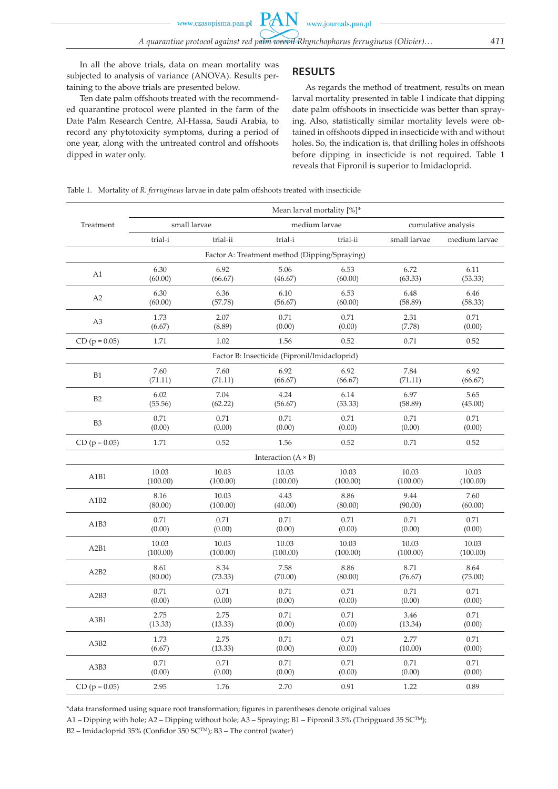In all the above trials, data on mean mortality was subjected to analysis of variance (ANOVA). Results pertaining to the above trials are presented below.

Ten date palm offshoots treated with the recommended quarantine protocol were planted in the farm of the Date Palm Research Centre, Al-Hassa, Saudi Arabia, to record any phytotoxicity symptoms, during a period of one year, along with the untreated control and offshoots dipped in water only.

# **RESULTS**

As regards the method of treatment, results on mean larval mortality presented in table 1 indicate that dipping date palm offshoots in insecticide was better than spraying. Also, statistically similar mortality levels were obtained in offshoots dipped in insecticide with and without holes. So, the indication is, that drilling holes in offshoots before dipping in insecticide is not required. Table 1 reveals that Fipronil is superior to Imidacloprid.

Table 1. Mortality of *R. ferrugineus* larvae in date palm offshoots treated with insecticide

|                               | Mean larval mortality [%]* |          |                                               |          |                     |               |  |  |
|-------------------------------|----------------------------|----------|-----------------------------------------------|----------|---------------------|---------------|--|--|
| Treatment                     | small larvae               |          | medium larvae                                 |          | cumulative analysis |               |  |  |
|                               | trial-i                    | trial-ii | trial-i                                       | trial-ii | small larvae        | medium larvae |  |  |
|                               |                            |          | Factor A: Treatment method (Dipping/Spraying) |          |                     |               |  |  |
| A1                            | 6.30                       | 6.92     | 5.06                                          | 6.53     | 6.72                | 6.11          |  |  |
|                               | (60.00)                    | (66.67)  | (46.67)                                       | (60.00)  | (63.33)             | (53.33)       |  |  |
| A2                            | 6.30                       | 6.36     | 6.10                                          | 6.53     | 6.48                | 6.46          |  |  |
|                               | (60.00)                    | (57.78)  | (56.67)                                       | (60.00)  | (58.89)             | (58.33)       |  |  |
| A <sub>3</sub>                | 1.73                       | 2.07     | 0.71                                          | 0.71     | 2.31                | 0.71          |  |  |
|                               | (6.67)                     | (8.89)   | (0.00)                                        | (0.00)   | (7.78)              | (0.00)        |  |  |
| $CD (p = 0.05)$               | 1.71                       | 1.02     | 1.56                                          | 0.52     | 0.71                | 0.52          |  |  |
|                               |                            |          | Factor B: Insecticide (Fipronil/Imidacloprid) |          |                     |               |  |  |
| B1                            | 7.60                       | 7.60     | 6.92                                          | 6.92     | 7.84                | 6.92          |  |  |
|                               | (71.11)                    | (71.11)  | (66.67)                                       | (66.67)  | (71.11)             | (66.67)       |  |  |
| B <sub>2</sub>                | 6.02                       | 7.04     | 4.24                                          | 6.14     | 6.97                | 5.65          |  |  |
|                               | (55.56)                    | (62.22)  | (56.67)                                       | (53.33)  | (58.89)             | (45.00)       |  |  |
| B <sub>3</sub>                | 0.71                       | 0.71     | 0.71                                          | 0.71     | 0.71                | 0.71          |  |  |
|                               | (0.00)                     | (0.00)   | (0.00)                                        | (0.00)   | (0.00)              | (0.00)        |  |  |
| $CD (p = 0.05)$               | 1.71                       | 0.52     | 1.56                                          | 0.52     | 0.71                | 0.52          |  |  |
|                               |                            |          | Interaction $(A \times B)$                    |          |                     |               |  |  |
| A1B1                          | 10.03                      | 10.03    | 10.03                                         | 10.03    | 10.03               | 10.03         |  |  |
|                               | (100.00)                   | (100.00) | (100.00)                                      | (100.00) | (100.00)            | (100.00)      |  |  |
| A1B <sub>2</sub>              | 8.16                       | 10.03    | 4.43                                          | 8.86     | 9.44                | 7.60          |  |  |
|                               | (80.00)                    | (100.00) | (40.00)                                       | (80.00)  | (90.00)             | (60.00)       |  |  |
| A1B3                          | 0.71                       | 0.71     | 0.71                                          | 0.71     | 0.71                | 0.71          |  |  |
|                               | (0.00)                     | (0.00)   | (0.00)                                        | (0.00)   | (0.00)              | (0.00)        |  |  |
| A <sub>2</sub> B <sub>1</sub> | 10.03                      | 10.03    | 10.03                                         | 10.03    | 10.03               | 10.03         |  |  |
|                               | (100.00)                   | (100.00) | (100.00)                                      | (100.00) | (100.00)            | (100.00)      |  |  |
| A <sub>2</sub> B <sub>2</sub> | 8.61                       | 8.34     | 7.58                                          | 8.86     | 8.71                | 8.64          |  |  |
|                               | (80.00)                    | (73.33)  | (70.00)                                       | (80.00)  | (76.67)             | (75.00)       |  |  |
| A <sub>2</sub> B <sub>3</sub> | 0.71                       | 0.71     | 0.71                                          | 0.71     | 0.71                | 0.71          |  |  |
|                               | (0.00)                     | (0.00)   | (0.00)                                        | (0.00)   | (0.00)              | (0.00)        |  |  |
| A3B1                          | 2.75                       | 2.75     | 0.71                                          | 0.71     | 3.46                | 0.71          |  |  |
|                               | (13.33)                    | (13.33)  | (0.00)                                        | (0.00)   | (13.34)             | (0.00)        |  |  |
| A3B2                          | 1.73                       | 2.75     | 0.71                                          | 0.71     | 2.77                | 0.71          |  |  |
|                               | (6.67)                     | (13.33)  | (0.00)                                        | (0.00)   | (10.00)             | (0.00)        |  |  |
| A3B3                          | 0.71                       | 0.71     | 0.71                                          | 0.71     | 0.71                | 0.71          |  |  |
|                               | (0.00)                     | (0.00)   | (0.00)                                        | (0.00)   | (0.00)              | (0.00)        |  |  |
| $CD (p = 0.05)$               | 2.95                       | 1.76     | 2.70                                          | 0.91     | 1.22                | 0.89          |  |  |

\*data transformed using square root transformation; figures in parentheses denote original values

A1 – Dipping with hole; A2 – Dipping without hole; A3 – Spraying; B1 – Fipronil 3.5% (Thripguard 35 SCTM);

B2 – Imidacloprid 35% (Confidor 350 SCTM); B3 – The control (water)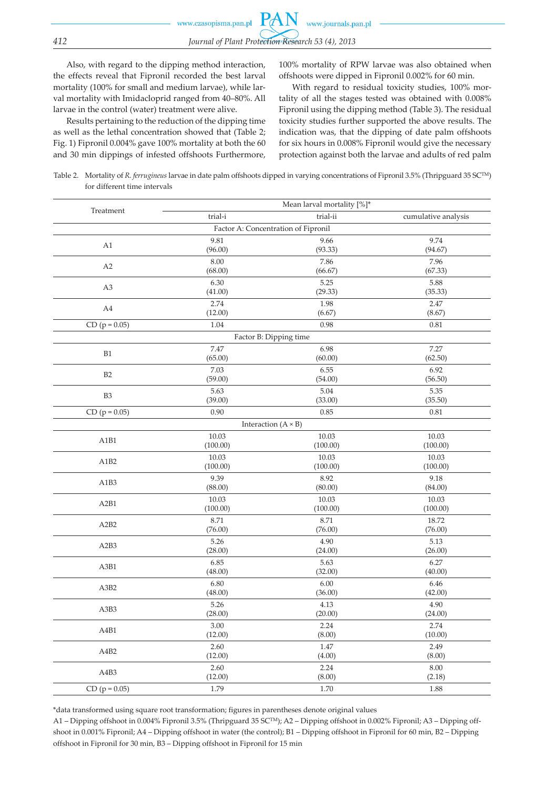Also, with regard to the dipping method interaction, the effects reveal that Fipronil recorded the best larval mortality (100% for small and medium larvae), while larval mortality with Imidacloprid ranged from 40–80%. All larvae in the control (water) treatment were alive.

Results pertaining to the reduction of the dipping time as well as the lethal concentration showed that (Table 2; Fig. 1) Fipronil 0.004% gave 100% mortality at both the 60 and 30 min dippings of infested offshoots Furthermore,

100% mortality of RPW larvae was also obtained when offshoots were dipped in Fipronil 0.002% for 60 min.

With regard to residual toxicity studies, 100% mortality of all the stages tested was obtained with 0.008% Fipronil using the dipping method (Table 3). The residual toxicity studies further supported the above results. The indication was, that the dipping of date palm offshoots for six hours in 0.008% Fipronil would give the necessary protection against both the larvae and adults of red palm

Table 2. Mortality of *R. ferrugineus* larvae in date palm offshoots dipped in varying concentrations of Fipronil 3.5% (Thripguard 35 SCTM) for different time intervals

|                               | Mean larval mortality [%]*          |                 |                     |  |  |  |
|-------------------------------|-------------------------------------|-----------------|---------------------|--|--|--|
| Treatment                     | $\mbox{trial-i}$                    | trial-ii        | cumulative analysis |  |  |  |
|                               | Factor A: Concentration of Fipronil |                 |                     |  |  |  |
| A1                            | 9.81                                | 9.66            | 9.74                |  |  |  |
|                               | (96.00)                             | (93.33)         | (94.67)             |  |  |  |
| A2                            | 8.00                                | 7.86            | 7.96                |  |  |  |
|                               | (68.00)                             | (66.67)         | (67.33)             |  |  |  |
| A <sub>3</sub>                | 6.30                                | 5.25            | 5.88                |  |  |  |
|                               | (41.00)                             | (29.33)         | (35.33)             |  |  |  |
| A4                            | 2.74                                | 1.98            | 2.47                |  |  |  |
|                               | (12.00)                             | (6.67)          | (8.67)              |  |  |  |
| $CD (p = 0.05)$               | 1.04                                | 0.98            | 0.81                |  |  |  |
|                               | Factor B: Dipping time              |                 |                     |  |  |  |
| B1                            | 7.47                                | 6.98            | 7.27                |  |  |  |
|                               | (65.00)                             | (60.00)         | (62.50)             |  |  |  |
| B <sub>2</sub>                | 7.03                                | 6.55            | 6.92                |  |  |  |
|                               | (59.00)                             | (54.00)         | (56.50)             |  |  |  |
| B <sub>3</sub>                | 5.63                                | 5.04            | 5.35                |  |  |  |
|                               | (39.00)                             | (33.00)         | (35.50)             |  |  |  |
| $CD (p = 0.05)$               | 0.90                                | 0.85            | 0.81                |  |  |  |
|                               | Interaction $(A \times B)$          |                 |                     |  |  |  |
| A1B1                          | 10.03                               | 10.03           | 10.03               |  |  |  |
|                               | (100.00)                            | (100.00)        | (100.00)            |  |  |  |
| A1B <sub>2</sub>              | 10.03                               | 10.03           | 10.03               |  |  |  |
|                               | (100.00)                            | (100.00)        | (100.00)            |  |  |  |
| A1B3                          | 9.39                                | 8.92            | 9.18                |  |  |  |
|                               | (88.00)                             | (80.00)         | (84.00)             |  |  |  |
| A2B1                          | 10.03                               | 10.03           | 10.03               |  |  |  |
|                               | (100.00)                            | (100.00)        | (100.00)            |  |  |  |
| A <sub>2</sub> B <sub>2</sub> | 8.71                                | 8.71            | 18.72               |  |  |  |
|                               | (76.00)                             | (76.00)         | (76.00)             |  |  |  |
| A <sub>2</sub> B <sub>3</sub> | 5.26                                | 4.90            | 5.13                |  |  |  |
|                               | (28.00)                             | (24.00)         | (26.00)             |  |  |  |
| A3B1                          | 6.85<br>(48.00)                     | 5.63<br>(32.00) | 6.27<br>(40.00)     |  |  |  |
|                               | 6.80                                | 6.00            | 6.46                |  |  |  |
| A3B2                          | (48.00)                             | (36.00)         | (42.00)             |  |  |  |
|                               | 5.26                                | 4.13            | 4.90                |  |  |  |
| A3B3                          | (28.00)                             | (20.00)         | (24.00)             |  |  |  |
|                               | 3.00                                | 2.24            | 2.74                |  |  |  |
| A4B1                          | (12.00)                             | (8.00)          | (10.00)             |  |  |  |
|                               | 2.60                                | 1.47            | 2.49                |  |  |  |
| A4B2                          | (12.00)                             | (4.00)          | (8.00)              |  |  |  |
|                               | 2.60                                | 2.24            | 8.00                |  |  |  |
| A4B3                          | (12.00)                             | (8.00)          | (2.18)              |  |  |  |
| $CD (p = 0.05)$               | 1.79                                | 1.70            | 1.88                |  |  |  |

\*data transformed using square root transformation; figures in parentheses denote original values

A1 – Dipping offshoot in 0.004% Fipronil 3.5% (Thripguard 35 SCTM); A2 – Dipping offshoot in 0.002% Fipronil; A3 – Dipping offshoot in 0.001% Fipronil; A4 – Dipping offshoot in water (the control); B1 – Dipping offshoot in Fipronil for 60 min, B2 – Dipping offshoot in Fipronil for 30 min, B3 – Dipping offshoot in Fipronil for 15 min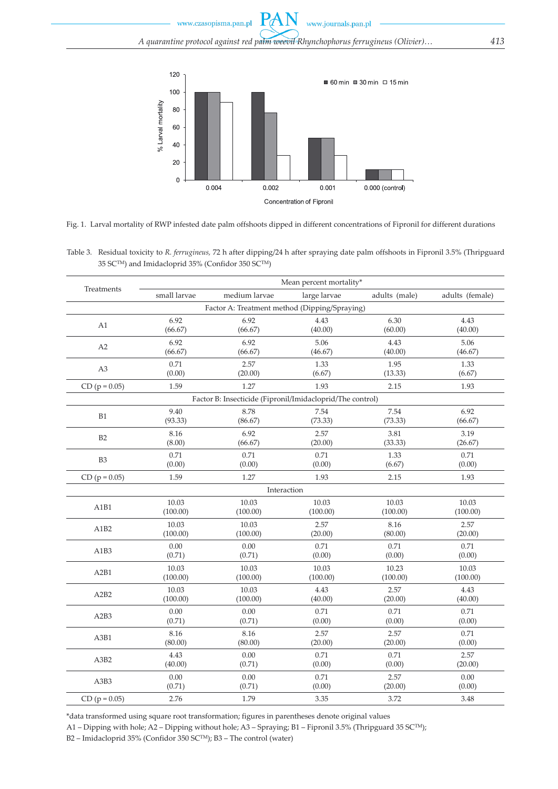$\mathbf{P} \mathcal{A}$ www.journals.pan.pl www.czasopisma.pan.pl



Fig. 1. Larval mortality of RWP infested date palm offshoots dipped in different concentrations of Fipronil for different durations

Table 3. Residual toxicity to *R. ferrugineus,* 72 h after dipping/24 h after spraying date palm offshoots in Fipronil 3.5% (Thripguard 35 SCTM) and Imidacloprid 35% (Confidor 350 SCTM)

|                                                           | Mean percent mortality* |               |              |               |                 |  |  |  |  |
|-----------------------------------------------------------|-------------------------|---------------|--------------|---------------|-----------------|--|--|--|--|
| Treatments                                                | small larvae            | medium larvae | large larvae | adults (male) | adults (female) |  |  |  |  |
| Factor A: Treatment method (Dipping/Spraying)             |                         |               |              |               |                 |  |  |  |  |
| A1                                                        | 6.92                    | 6.92          | 4.43         | 6.30          | 4.43            |  |  |  |  |
|                                                           | (66.67)                 | (66.67)       | (40.00)      | (60.00)       | (40.00)         |  |  |  |  |
| A2                                                        | 6.92                    | 6.92          | 5.06         | 4.43          | 5.06            |  |  |  |  |
|                                                           | (66.67)                 | (66.67)       | (46.67)      | (40.00)       | (46.67)         |  |  |  |  |
| A <sub>3</sub>                                            | 0.71                    | 2.57          | 1.33         | 1.95          | 1.33            |  |  |  |  |
|                                                           | (0.00)                  | (20.00)       | (6.67)       | (13.33)       | (6.67)          |  |  |  |  |
| $CD (p = 0.05)$                                           | 1.59                    | 1.27          | 1.93         | 2.15          | 1.93            |  |  |  |  |
| Factor B: Insecticide (Fipronil/Imidacloprid/The control) |                         |               |              |               |                 |  |  |  |  |
| B1                                                        | 9.40                    | 8.78          | 7.54         | 7.54          | 6.92            |  |  |  |  |
|                                                           | (93.33)                 | (86.67)       | (73.33)      | (73.33)       | (66.67)         |  |  |  |  |
| B2                                                        | 8.16                    | 6.92          | 2.57         | 3.81          | 3.19            |  |  |  |  |
|                                                           | (8.00)                  | (66.67)       | (20.00)      | (33.33)       | (26.67)         |  |  |  |  |
| B <sub>3</sub>                                            | 0.71                    | 0.71          | 0.71         | 1.33          | 0.71            |  |  |  |  |
|                                                           | (0.00)                  | (0.00)        | (0.00)       | (6.67)        | (0.00)          |  |  |  |  |
| $CD (p = 0.05)$                                           | 1.59                    | 1.27          | 1.93         | 2.15          | 1.93            |  |  |  |  |
|                                                           | Interaction             |               |              |               |                 |  |  |  |  |
| A1B1                                                      | 10.03                   | 10.03         | 10.03        | 10.03         | 10.03           |  |  |  |  |
|                                                           | (100.00)                | (100.00)      | (100.00)     | (100.00)      | (100.00)        |  |  |  |  |
| A1B2                                                      | 10.03                   | 10.03         | 2.57         | 8.16          | 2.57            |  |  |  |  |
|                                                           | (100.00)                | (100.00)      | (20.00)      | (80.00)       | (20.00)         |  |  |  |  |
| A1B3                                                      | 0.00                    | 0.00          | 0.71         | 0.71          | 0.71            |  |  |  |  |
|                                                           | (0.71)                  | (0.71)        | (0.00)       | (0.00)        | (0.00)          |  |  |  |  |
| A <sub>2</sub> B <sub>1</sub>                             | 10.03                   | 10.03         | 10.03        | 10.23         | 10.03           |  |  |  |  |
|                                                           | (100.00)                | (100.00)      | (100.00)     | (100.00)      | (100.00)        |  |  |  |  |
| A <sub>2</sub> B <sub>2</sub>                             | 10.03                   | 10.03         | 4.43         | 2.57          | 4.43            |  |  |  |  |
|                                                           | (100.00)                | (100.00)      | (40.00)      | (20.00)       | (40.00)         |  |  |  |  |
| A <sub>2</sub> B <sub>3</sub>                             | 0.00                    | 0.00          | 0.71         | 0.71          | 0.71            |  |  |  |  |
|                                                           | (0.71)                  | (0.71)        | (0.00)       | (0.00)        | (0.00)          |  |  |  |  |
| A3B1                                                      | 8.16                    | 8.16          | 2.57         | 2.57          | 0.71            |  |  |  |  |
|                                                           | (80.00)                 | (80.00)       | (20.00)      | (20.00)       | (0.00)          |  |  |  |  |
| A3B2                                                      | 4.43                    | 0.00          | 0.71         | 0.71          | 2.57            |  |  |  |  |
|                                                           | (40.00)                 | (0.71)        | (0.00)       | (0.00)        | (20.00)         |  |  |  |  |
| A3B3                                                      | 0.00                    | 0.00          | 0.71         | 2.57          | 0.00            |  |  |  |  |
|                                                           | (0.71)                  | (0.71)        | (0.00)       | (20.00)       | (0.00)          |  |  |  |  |
| $CD (p = 0.05)$                                           | 2.76                    | 1.79          | 3.35         | 3.72          | 3.48            |  |  |  |  |

\*data transformed using square root transformation; figures in parentheses denote original values

A1 – Dipping with hole; A2 – Dipping without hole; A3 – Spraying; B1 – Fipronil 3.5% (Thripguard 35 SCTM);

B2 – Imidacloprid 35% (Confidor 350 SCTM); B3 – The control (water)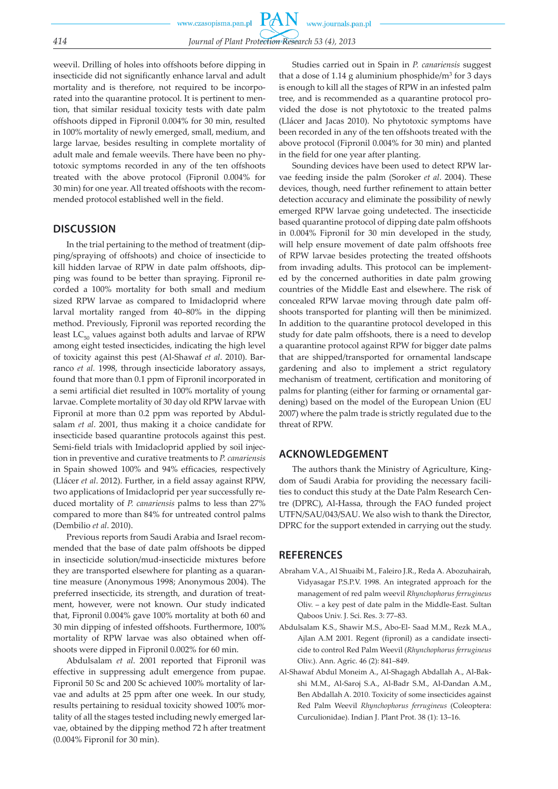weevil. Drilling of holes into offshoots before dipping in insecticide did not significantly enhance larval and adult mortality and is therefore, not required to be incorporated into the quarantine protocol. It is pertinent to mention, that similar residual toxicity tests with date palm offshoots dipped in Fipronil 0.004% for 30 min, resulted in 100% mortality of newly emerged, small, medium, and large larvae, besides resulting in complete mortality of adult male and female weevils. There have been no phytotoxic symptoms recorded in any of the ten offshoots treated with the above protocol (Fipronil 0.004% for 30 min) for one year. All treated offshoots with the recommended protocol established well in the field.

# **DISCUSSION**

In the trial pertaining to the method of treatment (dipping/spraying of offshoots) and choice of insecticide to kill hidden larvae of RPW in date palm offshoots, dipping was found to be better than spraying. Fipronil recorded a 100% mortality for both small and medium sized RPW larvae as compared to Imidacloprid where larval mortality ranged from 40–80% in the dipping method. Previously, Fipronil was reported recording the least  $LC_{50}$  values against both adults and larvae of RPW among eight tested insecticides, indicating the high level of toxicity against this pest (Al-Shawaf *et al*. 2010). Barranco *et al.* 1998, through insecticide laboratory assays, found that more than 0.1 ppm of Fipronil incorporated in a semi artificial diet resulted in 100% mortality of young larvae. Complete mortality of 30 day old RPW larvae with Fipronil at more than 0.2 ppm was reported by Abdulsalam *et al*. 2001, thus making it a choice candidate for insecticide based quarantine protocols against this pest. Semi-field trials with Imidacloprid applied by soil injection in preventive and curative treatments to *P. canariensis* in Spain showed 100% and 94% efficacies, respectively (Llácer *et al*. 2012). Further, in a field assay against RPW, two applications of Imidacloprid per year successfully reduced mortality of *P. canariensis* palms to less than 27% compared to more than 84% for untreated control palms (Dembilio *et al*. 2010).

Previous reports from Saudi Arabia and Israel recommended that the base of date palm offshoots be dipped in insecticide solution/mud-insecticide mixtures before they are transported elsewhere for planting as a quarantine measure (Anonymous 1998; Anonymous 2004). The preferred insecticide, its strength, and duration of treatment, however, were not known. Our study indicated that, Fipronil 0.004% gave 100% mortality at both 60 and 30 min dipping of infested offshoots. Furthermore, 100% mortality of RPW larvae was also obtained when offshoots were dipped in Fipronil 0.002% for 60 min.

Abdulsalam *et al*. 2001 reported that Fipronil was effective in suppressing adult emergence from pupae. Fipronil 50 Sc and 200 Sc achieved 100% mortality of larvae and adults at 25 ppm after one week. In our study, results pertaining to residual toxicity showed 100% mortality of all the stages tested including newly emerged larvae, obtained by the dipping method 72 h after treatment (0.004% Fipronil for 30 min).

Studies carried out in Spain in *P. canariensis* suggest that a dose of 1.14 g aluminium phosphide/ $m^3$  for 3 days is enough to kill all the stages of RPW in an infested palm tree, and is recommended as a quarantine protocol provided the dose is not phytotoxic to the treated palms (Llácer and Jacas 2010). No phytotoxic symptoms have been recorded in any of the ten offshoots treated with the above protocol (Fipronil 0.004% for 30 min) and planted in the field for one year after planting.

Sounding devices have been used to detect RPW larvae feeding inside the palm (Soroker *et al*. 2004). These devices, though, need further refinement to attain better detection accuracy and eliminate the possibility of newly emerged RPW larvae going undetected. The insecticide based quarantine protocol of dipping date palm offshoots in 0.004% Fipronil for 30 min developed in the study, will help ensure movement of date palm offshoots free of RPW larvae besides protecting the treated offshoots from invading adults. This protocol can be implemented by the concerned authorities in date palm growing countries of the Middle East and elsewhere. The risk of concealed RPW larvae moving through date palm offshoots transported for planting will then be minimized. In addition to the quarantine protocol developed in this study for date palm offshoots, there is a need to develop a quarantine protocol against RPW for bigger date palms that are shipped/transported for ornamental landscape gardening and also to implement a strict regulatory mechanism of treatment, certification and monitoring of palms for planting (either for farming or ornamental gardening) based on the model of the European Union (EU 2007) where the palm trade is strictly regulated due to the threat of RPW.

## **ACKNOWLEDGEMENT**

The authors thank the Ministry of Agriculture, Kingdom of Saudi Arabia for providing the necessary facilities to conduct this study at the Date Palm Research Centre (DPRC), Al-Hassa, through the FAO funded project UTFN/SAU/043/SAU. We also wish to thank the Director, DPRC for the support extended in carrying out the study.

## **REFERENCES**

- Abraham V.A., Al Shuaibi M., Faleiro J.R., Reda A. Abozuhairah, Vidyasagar P.S.P.V. 1998. An integrated approach for the management of red palm weevil *Rhynchophorus ferrugineus* Oliv. – a key pest of date palm in the Middle-East. Sultan Qaboos Univ. J. Sci. Res. 3: 77–83.
- Abdulsalam K.S., Shawir M.S., Abo-El- Saad M.M., Rezk M.A., Ajlan A.M 2001. Regent (fipronil) as a candidate insecticide to control Red Palm Weevil (*Rhynchophorus ferrugineus* Oliv.). Ann. Agric. 46 (2): 841–849.
- Al-Shawaf Abdul Moneim A., Al-Shagagh Abdallah A., Al-Bakshi M.M., Al-Saroj S.A., Al-Badr S.M., Al-Dandan A.M., Ben Abdallah A. 2010. Toxicity of some insecticides against Red Palm Weevil *Rhynchophorus ferrugineus* (Coleoptera: Curculionidae). Indian J. Plant Prot. 38 (1): 13–16.